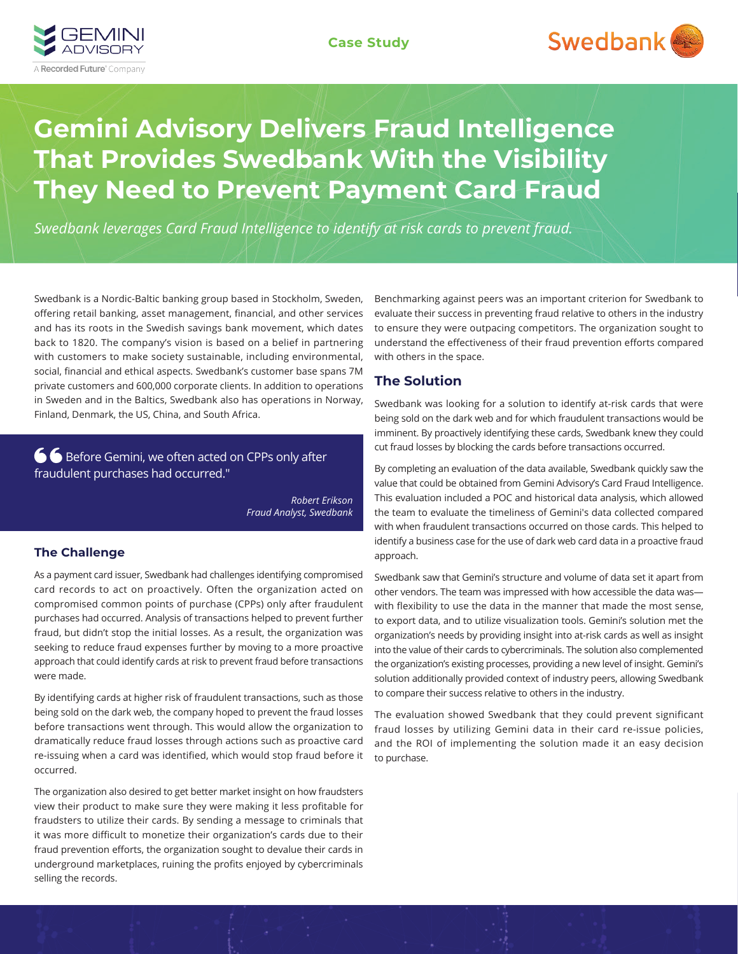



# **Gemini Advisory Delivers Fraud Intelligence That Provides Swedbank With the Visibility They Need to Prevent Payment Card Fraud**

*Swedbank leverages Card Fraud Intelligence to identify at risk cards to prevent fraud.*

Swedbank is a Nordic-Baltic banking group based in Stockholm, Sweden, offering retail banking, asset management, financial, and other services and has its roots in the Swedish savings bank movement, which dates back to 1820. The company's vision is based on a belief in partnering with customers to make society sustainable, including environmental, social, financial and ethical aspects. Swedbank's customer base spans 7M private customers and 600,000 corporate clients. In addition to operations in Sweden and in the Baltics, Swedbank also has operations in Norway, Finland, Denmark, the US, China, and South Africa.

**6 G** Before Gemini, we often acted on CPPs only after fraudulent purchases had occurred."

> *Robert Erikson Fraud Analyst, Swedbank*

#### **The Challenge**

As a payment card issuer, Swedbank had challenges identifying compromised card records to act on proactively. Often the organization acted on compromised common points of purchase (CPPs) only after fraudulent purchases had occurred. Analysis of transactions helped to prevent further fraud, but didn't stop the initial losses. As a result, the organization was seeking to reduce fraud expenses further by moving to a more proactive approach that could identify cards at risk to prevent fraud before transactions were made.

By identifying cards at higher risk of fraudulent transactions, such as those being sold on the dark web, the company hoped to prevent the fraud losses before transactions went through. This would allow the organization to dramatically reduce fraud losses through actions such as proactive card re-issuing when a card was identified, which would stop fraud before it occurred.

The organization also desired to get better market insight on how fraudsters view their product to make sure they were making it less profitable for fraudsters to utilize their cards. By sending a message to criminals that it was more difficult to monetize their organization's cards due to their fraud prevention efforts, the organization sought to devalue their cards in underground marketplaces, ruining the profits enjoyed by cybercriminals selling the records.

Benchmarking against peers was an important criterion for Swedbank to evaluate their success in preventing fraud relative to others in the industry to ensure they were outpacing competitors. The organization sought to understand the effectiveness of their fraud prevention efforts compared with others in the space.

## **The Solution**

Swedbank was looking for a solution to identify at-risk cards that were being sold on the dark web and for which fraudulent transactions would be imminent. By proactively identifying these cards, Swedbank knew they could cut fraud losses by blocking the cards before transactions occurred.

By completing an evaluation of the data available, Swedbank quickly saw the value that could be obtained from Gemini Advisory's Card Fraud Intelligence. This evaluation included a POC and historical data analysis, which allowed the team to evaluate the timeliness of Gemini's data collected compared with when fraudulent transactions occurred on those cards. This helped to identify a business case for the use of dark web card data in a proactive fraud approach.

Swedbank saw that Gemini's structure and volume of data set it apart from other vendors. The team was impressed with how accessible the data was with flexibility to use the data in the manner that made the most sense, to export data, and to utilize visualization tools. Gemini's solution met the organization's needs by providing insight into at-risk cards as well as insight into the value of their cards to cybercriminals. The solution also complemented the organization's existing processes, providing a new level of insight. Gemini's solution additionally provided context of industry peers, allowing Swedbank to compare their success relative to others in the industry.

The evaluation showed Swedbank that they could prevent significant fraud losses by utilizing Gemini data in their card re-issue policies, and the ROI of implementing the solution made it an easy decision to purchase.